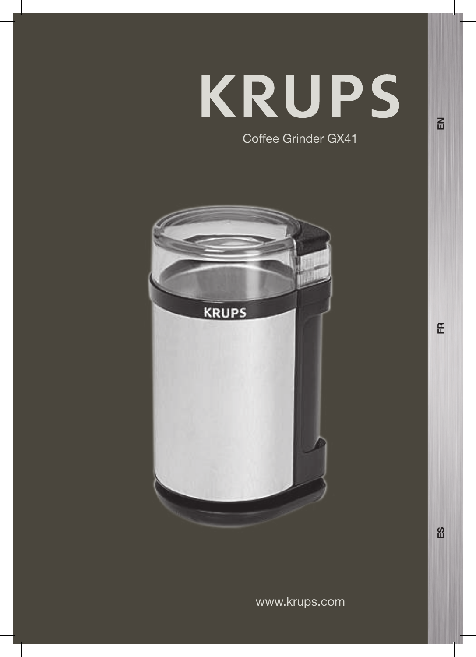# **KRUPS** Coffee Grinder GX41

 $\overline{E}$ 

FR

 $\mathbf{g}$ 

**KRUPS** 

www.krups.com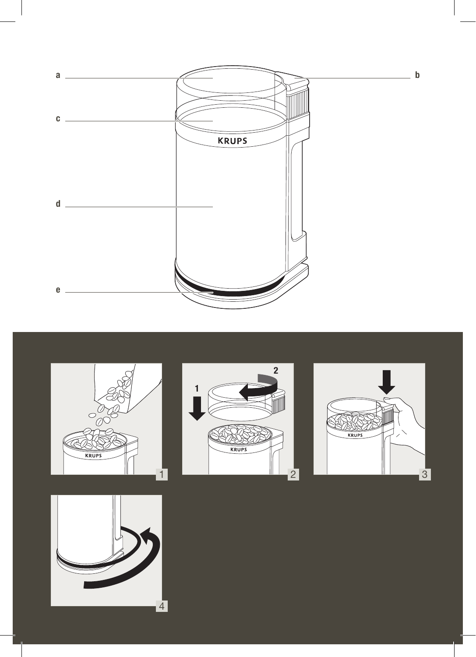







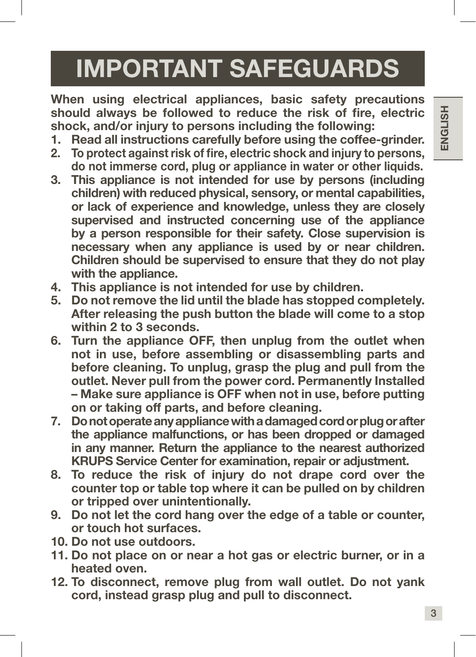# IMPORTANT SAFEGUARDS

When using electrical appliances, basic safety precautions should always be followed to reduce the risk of fire, electric shock, and/or injury to persons including the following:

- 1. Read all instructions carefully before using the coffee-grinder.
- 2. To protect against risk of fire, electric shock and injury to persons, do not immerse cord, plug or appliance in water or other liquids.
- 3. This appliance is not intended for use by persons (including children) with reduced physical, sensory, or mental capabilities, or lack of experience and knowledge, unless they are closely supervised and instructed concerning use of the appliance by a person responsible for their safety. Close supervision is necessary when any appliance is used by or near children. Children should be supervised to ensure that they do not play with the appliance.
- 4. This appliance is not intended for use by children.
- 5. Do not remove the lid until the blade has stopped completely. After releasing the push button the blade will come to a stop within 2 to 3 seconds.
- 6. Turn the appliance OFF, then unplug from the outlet when not in use, before assembling or disassembling parts and before cleaning. To unplug, grasp the plug and pull from the outlet. Never pull from the power cord. Permanently Installed – Make sure appliance is OFF when not in use, before putting on or taking off parts, and before cleaning.
- 7. Do not operate any appliance with a damaged cord or plug or after the appliance malfunctions, or has been dropped or damaged in any manner. Return the appliance to the nearest authorized KRUPS Service Center for examination, repair or adjustment.
- 8. To reduce the risk of injury do not drape cord over the counter top or table top where it can be pulled on by children or tripped over unintentionally.
- 9. Do not let the cord hang over the edge of a table or counter, or touch hot surfaces.
- 10. Do not use outdoors.
- 11. Do not place on or near a hot gas or electric burner, or in a heated oven.
- 12. To disconnect, remove plug from wall outlet. Do not yank cord, instead grasp plug and pull to disconnect.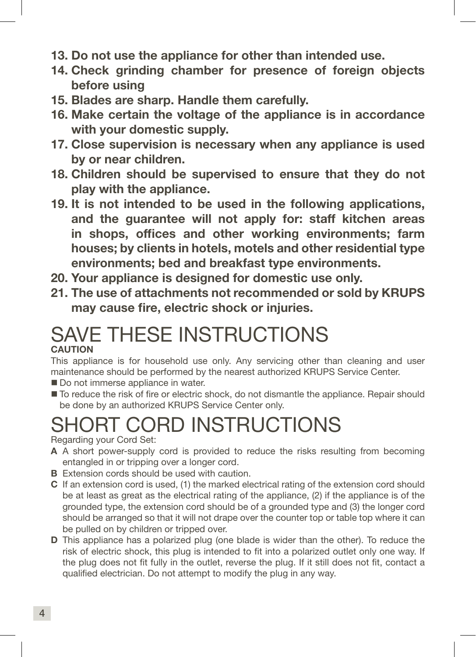- 13. Do not use the appliance for other than intended use.
- 14. Check grinding chamber for presence of foreign objects before using
- 15. Blades are sharp. Handle them carefully.
- 16. Make certain the voltage of the appliance is in accordance with your domestic supply.
- 17. Close supervision is necessary when any appliance is used by or near children.
- 18. Children should be supervised to ensure that they do not play with the appliance.
- 19. It is not intended to be used in the following applications, and the guarantee will not apply for: staff kitchen areas in shops, offices and other working environments; farm houses; by clients in hotels, motels and other residential type environments; bed and breakfast type environments.
- 20. Your appliance is designed for domestic use only.
- 21. The use of attachments not recommended or sold by KRUPS may cause fire, electric shock or injuries.

#### SAVE THESE INSTRUCTIONS **CAUTION**

This appliance is for household use only. Any servicing other than cleaning and user maintenance should be performed by the nearest authorized KRUPS Service Center.

- Do not immerse appliance in water.
- $\blacksquare$  To reduce the risk of fire or electric shock, do not dismantle the appliance. Repair should be done by an authorized KRUPS Service Center only.

## SHORT CORD INSTRUCTIONS

Regarding your Cord Set:

- A A short power-supply cord is provided to reduce the risks resulting from becoming entangled in or tripping over a longer cord.
- **B** Extension cords should be used with caution.
- C If an extension cord is used, (1) the marked electrical rating of the extension cord should be at least as great as the electrical rating of the appliance, (2) if the appliance is of the grounded type, the extension cord should be of a grounded type and (3) the longer cord should be arranged so that it will not drape over the counter top or table top where it can be pulled on by children or tripped over.
- D This appliance has a polarized plug (one blade is wider than the other). To reduce the risk of electric shock, this plug is intended to fit into a polarized outlet only one way. If the plug does not fit fully in the outlet, reverse the plug. If it still does not fit, contact a qualified electrician. Do not attempt to modify the plug in any way.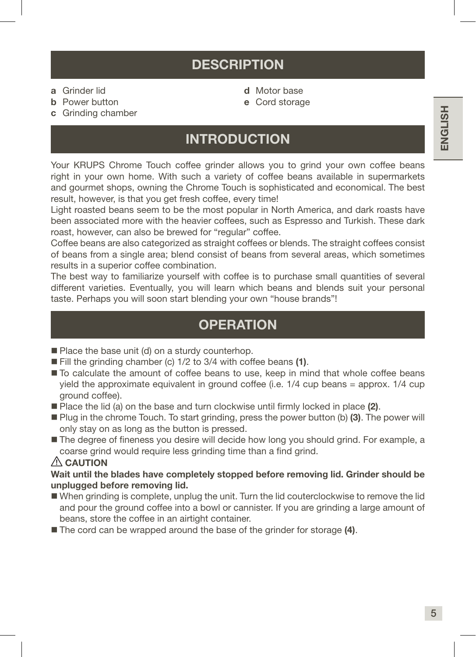### **DESCRIPTION**

- a Grinder lid
- b Power button
- c Grinding chamber
- d Motor base
- e Cord storage

#### INTRODUCTION

Your KRUPS Chrome Touch coffee grinder allows you to grind your own coffee beans right in your own home. With such a variety of coffee beans available in supermarkets and gourmet shops, owning the Chrome Touch is sophisticated and economical. The best result, however, is that you get fresh coffee, every time!

Light roasted beans seem to be the most popular in North America, and dark roasts have been associated more with the heavier coffees, such as Espresso and Turkish. These dark roast, however, can also be brewed for "regular" coffee.

Coffee beans are also categorized as straight coffees or blends. The straight coffees consist of beans from a single area; blend consist of beans from several areas, which sometimes results in a superior coffee combination.

The best way to familiarize yourself with coffee is to purchase small quantities of several different varieties. Eventually, you will learn which beans and blends suit your personal taste. Perhaps you will soon start blending your own "house brands"!

#### **OPERATION**

- Place the base unit (d) on a sturdy counterhop.
- Fill the grinding chamber (c) 1/2 to 3/4 with coffee beans (1).
- $\blacksquare$  To calculate the amount of coffee beans to use, keep in mind that whole coffee beans yield the approximate equivalent in ground coffee (i.e. 1/4 cup beans = approx. 1/4 cup ground coffee).
- $\blacksquare$  Place the lid (a) on the base and turn clockwise until firmly locked in place (2).
- **Plug in the chrome Touch. To start grinding, press the power button (b) (3). The power will** only stay on as long as the button is pressed.
- The degree of fineness you desire will decide how long you should grind. For example, a coarse grind would require less grinding time than a find grind.

#### $\triangle$  CAUTION

Wait until the blades have completely stopped before removing lid. Grinder should be unplugged before removing lid.

- When grinding is complete, unplug the unit. Turn the lid couterclockwise to remove the lid and pour the ground coffee into a bowl or cannister. If you are grinding a large amount of beans, store the coffee in an airtight container.
- The cord can be wrapped around the base of the grinder for storage (4).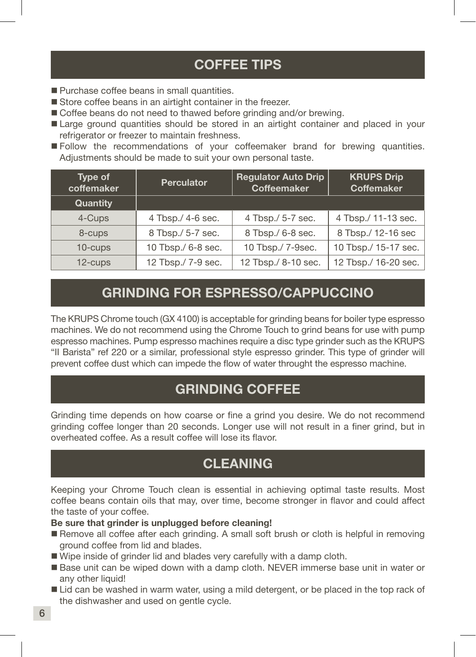#### COFFEE TIPS

- **Purchase coffee beans in small quantities.**
- Store coffee beans in an airtight container in the freezer.
- Coffee beans do not need to thawed before grinding and/or brewing.
- Large ground quantities should be stored in an airtight container and placed in your refrigerator or freezer to maintain freshness.
- **Follow** the recommendations of your coffeemaker brand for brewing quantities. Adjustments should be made to suit your own personal taste.

| Type of<br>coffemaker | <b>Perculator</b>  | <b>Regulator Auto Drip</b><br><b>Coffeemaker</b> | <b>KRUPS Drip</b><br><b>Coffemaker</b> |
|-----------------------|--------------------|--------------------------------------------------|----------------------------------------|
| Quantity              |                    |                                                  |                                        |
| 4-Cups                | 4 Tbsp./ 4-6 sec.  | 4 Tbsp./ 5-7 sec.                                | 4 Tbsp./ 11-13 sec.                    |
| 8-cups                | 8 Tbsp./ 5-7 sec.  | 8 Tbsp./ 6-8 sec.                                | 8 Tbsp./ 12-16 sec                     |
| 10-cups               | 10 Tbsp./ 6-8 sec. | 10 Tbsp./ 7-9sec.                                | 10 Tbsp./ 15-17 sec.                   |
| 12-cups               | 12 Tbsp./ 7-9 sec. | 12 Tbsp./ 8-10 sec.                              | 12 Tbsp./ 16-20 sec.                   |

#### GRINDING FOR ESPRESSO/CAPPUCCINO

The KRUPS Chrome touch (GX 4100) is acceptable for grinding beans for boiler type espresso machines. We do not recommend using the Chrome Touch to grind beans for use with pump espresso machines. Pump espresso machines require a disc type grinder such as the KRUPS "II Barista" ref 220 or a similar, professional style espresso grinder. This type of grinder will prevent coffee dust which can impede the flow of water throught the espresso machine.

#### GRINDING COFFEE

Grinding time depends on how coarse or fine a grind you desire. We do not recommend grinding coffee longer than 20 seconds. Longer use will not result in a finer grind, but in overheated coffee. As a result coffee will lose its flavor.

### CLEANING

Keeping your Chrome Touch clean is essential in achieving optimal taste results. Most coffee beans contain oils that may, over time, become stronger in flavor and could affect the taste of your coffee.

#### Be sure that grinder is unplugged before cleaning!

- Remove all coffee after each grinding. A small soft brush or cloth is helpful in removing ground coffee from lid and blades.
- Wipe inside of grinder lid and blades very carefully with a damp cloth.
- Base unit can be wiped down with a damp cloth. NEVER immerse base unit in water or any other liquid!
- Lid can be washed in warm water, using a mild detergent, or be placed in the top rack of the dishwasher and used on gentle cycle.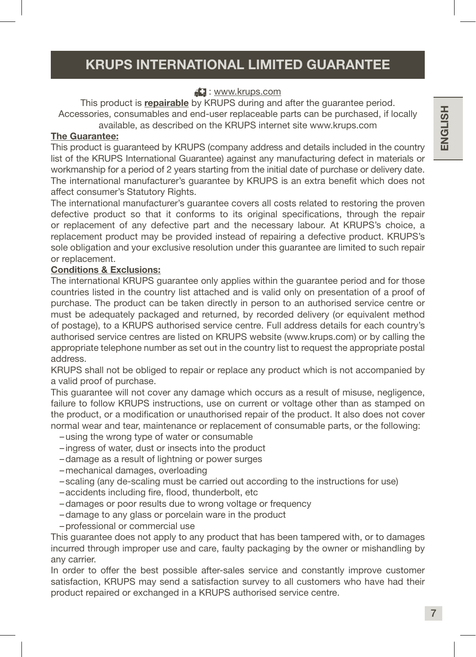#### KRUPS INTERNATIONAL LIMITED GUARANTEE

#### **E.** : www.krups.com

This product is repairable by KRUPS during and after the quarantee period. Accessories, consumables and end-user replaceable parts can be purchased, if locally available, as described on the KRUPS internet site www.krups.com

#### The Guarantee:

This product is guaranteed by KRUPS (company address and details included in the country list of the KRUPS International Guarantee) against any manufacturing defect in materials or workmanship for a period of 2 years starting from the initial date of purchase or delivery date. The international manufacturer's guarantee by KRUPS is an extra benefit which does not affect consumer's Statutory Rights.

The international manufacturer's guarantee covers all costs related to restoring the proven defective product so that it conforms to its original specifications, through the repair or replacement of any defective part and the necessary labour. At KRUPS's choice, a replacement product may be provided instead of repairing a defective product. KRUPS's sole obligation and your exclusive resolution under this guarantee are limited to such repair or replacement.

#### Conditions & Exclusions:

The international KRUPS guarantee only applies within the guarantee period and for those countries listed in the country list attached and is valid only on presentation of a proof of purchase. The product can be taken directly in person to an authorised service centre or must be adequately packaged and returned, by recorded delivery (or equivalent method of postage), to a KRUPS authorised service centre. Full address details for each country's authorised service centres are listed on KRUPS website (www.krups.com) or by calling the appropriate telephone number as set out in the country list to request the appropriate postal address.

KRUPS shall not be obliged to repair or replace any product which is not accompanied by a valid proof of purchase.

This guarantee will not cover any damage which occurs as a result of misuse, negligence, failure to follow KRUPS instructions, use on current or voltage other than as stamped on the product, or a modification or unauthorised repair of the product. It also does not cover normal wear and tear, maintenance or replacement of consumable parts, or the following:

- –using the wrong type of water or consumable
- ingress of water, dust or insects into the product
- –damage as a result of lightning or power surges
- –mechanical damages, overloading
- scaling (any de-scaling must be carried out according to the instructions for use)
- –accidents including fire, flood, thunderbolt, etc
- –damages or poor results due to wrong voltage or frequency
- –damage to any glass or porcelain ware in the product
- –professional or commercial use

This guarantee does not apply to any product that has been tampered with, or to damages incurred through improper use and care, faulty packaging by the owner or mishandling by any carrier.

In order to offer the best possible after-sales service and constantly improve customer satisfaction, KRUPS may send a satisfaction survey to all customers who have had their product repaired or exchanged in a KRUPS authorised service centre.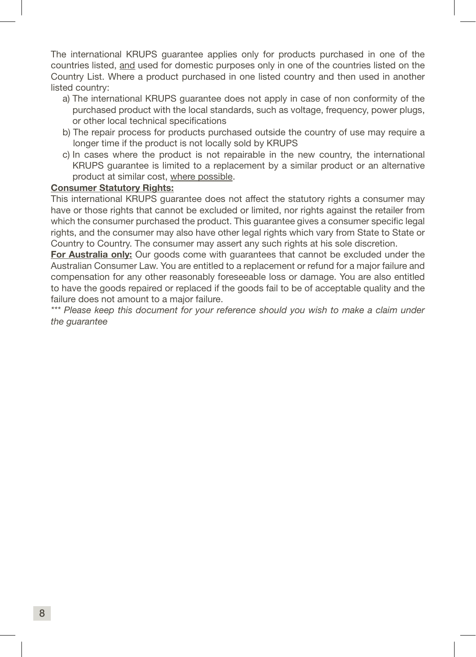The international KRUPS guarantee applies only for products purchased in one of the countries listed, and used for domestic purposes only in one of the countries listed on the Country List. Where a product purchased in one listed country and then used in another listed country:

- a) The international KRUPS guarantee does not apply in case of non conformity of the purchased product with the local standards, such as voltage, frequency, power plugs, or other local technical specifications
- b) The repair process for products purchased outside the country of use may require a longer time if the product is not locally sold by KRUPS
- c) In cases where the product is not repairable in the new country, the international KRUPS guarantee is limited to a replacement by a similar product or an alternative product at similar cost, where possible.

#### Consumer Statutory Rights:

This international KRUPS guarantee does not affect the statutory rights a consumer may have or those rights that cannot be excluded or limited, nor rights against the retailer from which the consumer purchased the product. This guarantee gives a consumer specific legal rights, and the consumer may also have other legal rights which vary from State to State or Country to Country. The consumer may assert any such rights at his sole discretion.

For Australia only: Our goods come with guarantees that cannot be excluded under the Australian Consumer Law. You are entitled to a replacement or refund for a major failure and compensation for any other reasonably foreseeable loss or damage. You are also entitled to have the goods repaired or replaced if the goods fail to be of acceptable quality and the failure does not amount to a major failure.

*\*\*\* Please keep this document for your reference should you wish to make a claim under the guarantee*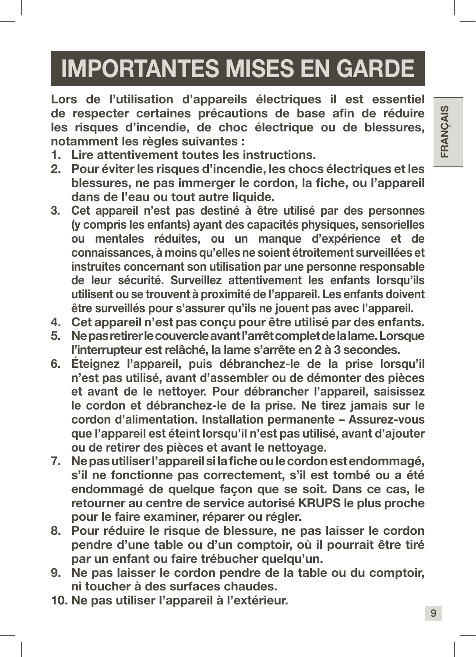# IMPORTANTES MISES EN GARDE

Lors de l'utilisation d'appareils électriques il est essentiel de respecter certaines précautions de base afin de réduire les risques d'incendie, de choc électrique ou de blessures, notamment les règles suivantes :

- 1. Lire attentivement toutes les instructions.
- 2. Pour éviter les risques d'incendie, les chocs électriques et les blessures, ne pas immerger le cordon, la fiche, ou l'appareil dans de l'eau ou tout autre liquide.
- 3. Cet appareil n'est pas destiné à être utilisé par des personnes (y compris les enfants) ayant des capacités physiques, sensorielles ou mentales réduites, ou un manque d'expérience et de connaissances, à moins qu'elles ne soient étroitement surveillées et instruites concernant son utilisation par une personne responsable de leur sécurité. Surveillez attentivement les enfants lorsqu'ils utilisent ou se trouvent à proximité de l'appareil. Les enfants doivent être surveillés pour s'assurer qu'ils ne jouent pas avec l'appareil.
- 4. Cet appareil n'est pas conçu pour être utilisé par des enfants.
- 5. Ne pas retirer le couvercle avant l'arrêt complet de la lame. Lorsque l'interrupteur est relâché, la lame s'arrête en 2 à 3 secondes.
- 6. Éteignez l'appareil, puis débranchez-le de la prise lorsqu'il n'est pas utilisé, avant d'assembler ou de démonter des pièces et avant de le nettoyer. Pour débrancher l'appareil, saisissez le cordon et débranchez-le de la prise. Ne tirez jamais sur le cordon d'alimentation. Installation permanente – Assurez-vous que l'appareil est éteint lorsqu'il n'est pas utilisé, avant d'ajouter ou de retirer des pièces et avant le nettoyage.
- 7. Ne pas utiliser l'appareil si la fiche ou le cordon est endommagé, s'il ne fonctionne pas correctement, s'il est tombé ou a été endommagé de quelque façon que se soit. Dans ce cas, le retourner au centre de service autorisé KRUPS le plus proche pour le faire examiner, réparer ou régler.
- 8. Pour réduire le risque de blessure, ne pas laisser le cordon pendre d'une table ou d'un comptoir, où il pourrait être tiré par un enfant ou faire trébucher quelqu'un.
- 9. Ne pas laisser le cordon pendre de la table ou du comptoir, ni toucher à des surfaces chaudes.
- 10. Ne pas utiliser l'appareil à l'extérieur.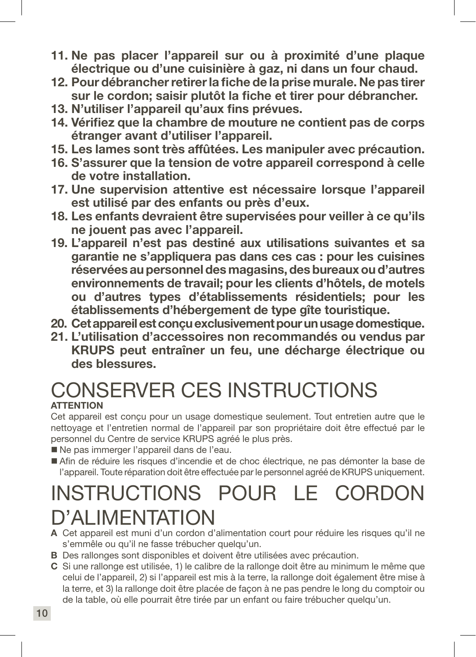- 11. Ne pas placer l'appareil sur ou à proximité d'une plaque électrique ou d'une cuisinière à gaz, ni dans un four chaud.
- 12. Pour débrancher retirer la fiche de la prise murale. Ne pas tirer sur le cordon; saisir plutôt la fiche et tirer pour débrancher.
- 13. N'utiliser l'appareil qu'aux fins prévues.
- 14. Vérifiez que la chambre de mouture ne contient pas de corps étranger avant d'utiliser l'appareil.
- 15. Les lames sont très affûtées. Les manipuler avec précaution.
- 16. S'assurer que la tension de votre appareil correspond à celle de votre installation.
- 17. Une supervision attentive est nécessaire lorsque l'appareil est utilisé par des enfants ou près d'eux.
- 18. Les enfants devraient être supervisées pour veiller à ce qu'ils ne jouent pas avec l'appareil.
- 19. L'appareil n'est pas destiné aux utilisations suivantes et sa garantie ne s'appliquera pas dans ces cas : pour les cuisines réservées au personnel des magasins, des bureaux ou d'autres environnements de travail; pour les clients d'hôtels, de motels ou d'autres types d'établissements résidentiels; pour les établissements d'hébergement de type gîte touristique.
- 20. Cet appareil est conçu exclusivement pour un usage domestique.
- 21. L'utilisation d'accessoires non recommandés ou vendus par KRUPS peut entraîner un feu, une décharge électrique ou des blessures.

## CONSERVER CES INSTRUCTIONS **ATTENTION**

Cet appareil est conçu pour un usage domestique seulement. Tout entretien autre que le nettoyage et l'entretien normal de l'appareil par son propriétaire doit être effectué par le personnel du Centre de service KRUPS agréé le plus près.

- Ne pas immerger l'appareil dans de l'eau.
- Afin de réduire les risques d'incendie et de choc électrique, ne pas démonter la base de l'appareil. Toute réparation doit être effectuée par le personnel agréé de KRUPS uniquement.

## INSTRUCTIONS POUR LE CORDON D'ALIMENTATION

- A Cet appareil est muni d'un cordon d'alimentation court pour réduire les risques qu'il ne s'emmêle ou qu'il ne fasse trébucher quelqu'un.
- B Des rallonges sont disponibles et doivent être utilisées avec précaution.
- C Si une rallonge est utilisée, 1) le calibre de la rallonge doit être au minimum le même que celui de l'appareil, 2) si l'appareil est mis à la terre, la rallonge doit également être mise à la terre, et 3) la rallonge doit être placée de façon à ne pas pendre le long du comptoir ou de la table, où elle pourrait être tirée par un enfant ou faire trébucher quelqu'un.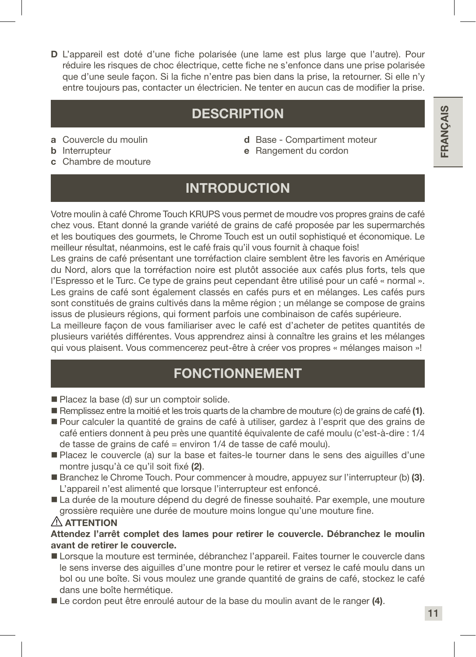D L'appareil est doté d'une fiche polarisée (une lame est plus large que l'autre). Pour réduire les risques de choc électrique, cette fiche ne s'enfonce dans une prise polarisée que d'une seule façon. Si la fiche n'entre pas bien dans la prise, la retourner. Si elle n'y entre toujours pas, contacter un électricien. Ne tenter en aucun cas de modifier la prise.

## **DESCRIPTION**

- a Couvercle du moulin
- **b** Interrupteur
- c Chambre de mouture
- d Base Compartiment moteur e Rangement du cordon
- INTRODUCTION

Votre moulin à café Chrome Touch KRUPS vous permet de moudre vos propres grains de café chez vous. Etant donné la grande variété de grains de café proposée par les supermarchés et les boutiques des gourmets, le Chrome Touch est un outil sophistiqué et économique. Le meilleur résultat, néanmoins, est le café frais qu'il vous fournit à chaque fois!

Les grains de café présentant une torréfaction claire semblent être les favoris en Amérique du Nord, alors que la torréfaction noire est plutôt associée aux cafés plus forts, tels que l'Espresso et le Turc. Ce type de grains peut cependant être utilisé pour un café « normal ». Les grains de café sont également classés en cafés purs et en mélanges. Les cafés purs sont constitués de grains cultivés dans la même région ; un mélange se compose de grains issus de plusieurs régions, qui forment parfois une combinaison de cafés supérieure.

La meilleure façon de vous familiariser avec le café est d'acheter de petites quantités de plusieurs variétés différentes. Vous apprendrez ainsi à connaître les grains et les mélanges qui vous plaisent. Vous commencerez peut-être à créer vos propres « mélanges maison »!

### FONCTIONNEMENT

- Placez la base (d) sur un comptoir solide.
- Remplissez entre la moitié et les trois quarts de la chambre de mouture (c) de grains de café (1).
- Pour calculer la quantité de grains de café à utiliser, gardez à l'esprit que des grains de café entiers donnent à peu près une quantité équivalente de café moulu (c'est-à-dire : 1/4 de tasse de grains de café = environ 1/4 de tasse de café moulu).
- Placez le couvercle (a) sur la base et faites-le tourner dans le sens des aiguilles d'une montre jusqu'à ce qu'il soit fixé (2).
- Branchez le Chrome Touch. Pour commencer à moudre, appuyez sur l'interrupteur (b) (3). L'appareil n'est alimenté que lorsque l'interrupteur est enfoncé.
- La durée de la mouture dépend du degré de finesse souhaité. Par exemple, une mouture grossière requière une durée de mouture moins longue qu'une mouture fine.

#### $\triangle$  attention

Attendez l'arrêt complet des lames pour retirer le couvercle. Débranchez le moulin avant de retirer le couvercle.

- Lorsque la mouture est terminée, débranchez l'appareil. Faites tourner le couvercle dans le sens inverse des aiguilles d'une montre pour le retirer et versez le café moulu dans un bol ou une boîte. Si vous moulez une grande quantité de grains de café, stockez le café dans une boîte hermétique.
- Le cordon peut être enroulé autour de la base du moulin avant de le ranger (4).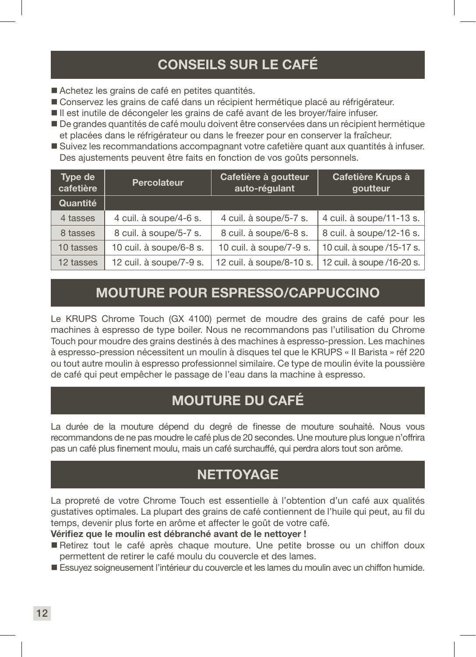## CONSEILS SUR LE CAFÉ

- Achetez les grains de café en petites quantités.
- Conservez les grains de café dans un récipient hermétique placé au réfrigérateur.
- Il est inutile de décongeler les grains de café avant de les broyer/faire infuser.
- De grandes quantités de café moulu doivent être conservées dans un récipient hermétique et placées dans le réfrigérateur ou dans le freezer pour en conserver la fraîcheur.
- Suivez les recommandations accompagnant votre cafetière quant aux quantités à infuser. Des ajustements peuvent être faits en fonction de vos goûts personnels.

| Type de<br>cafetière | <b>Percolateur</b>      | Cafetière à goutteur<br>auto-régulant | Cafetière Krups à<br>goutteur |
|----------------------|-------------------------|---------------------------------------|-------------------------------|
| Quantité             |                         |                                       |                               |
| 4 tasses             | 4 cuil. à soupe/4-6 s.  | 4 cuil. à soupe/5-7 s.                | 4 cuil. à soupe/11-13 s.      |
| 8 tasses             | 8 cuil. à soupe/5-7 s.  | 8 cuil. à soupe/6-8 s.                | 8 cuil. à soupe/12-16 s.      |
| 10 tasses            | 10 cuil. à soupe/6-8 s. | 10 cuil. à soupe/7-9 s.               | 10 cuil. à soupe /15-17 s.    |
| 12 tasses            | 12 cuil. à soupe/7-9 s. | 12 cuil. à soupe/8-10 s.              | 12 cuil. à soupe /16-20 s.    |

### MOUTURE POUR ESPRESSO/CAPPUCCINO

Le KRUPS Chrome Touch (GX 4100) permet de moudre des grains de café pour les machines à espresso de type boiler. Nous ne recommandons pas l'utilisation du Chrome Touch pour moudre des grains destinés à des machines à espresso-pression. Les machines à espresso-pression nécessitent un moulin à disques tel que le KRUPS « II Barista » réf 220 ou tout autre moulin à espresso professionnel similaire. Ce type de moulin évite la poussière de café qui peut empêcher le passage de l'eau dans la machine à espresso.

## MOUTURE DU CAFÉ

La durée de la mouture dépend du degré de finesse de mouture souhaité. Nous vous recommandons de ne pas moudre le café plus de 20 secondes. Une mouture plus longue n'offrira pas un café plus finement moulu, mais un café surchauffé, qui perdra alors tout son arôme.

## **NETTOYAGE**

La propreté de votre Chrome Touch est essentielle à l'obtention d'un café aux qualités gustatives optimales. La plupart des grains de café contiennent de l'huile qui peut, au fil du temps, devenir plus forte en arôme et affecter le goût de votre café.

Vérifiez que le moulin est débranché avant de le nettoyer !

- Retirez tout le café après chaque mouture. Une petite brosse ou un chiffon doux permettent de retirer le café moulu du couvercle et des lames.
- Essuyez soigneusement l'intérieur du couvercle et les lames du moulin avec un chiffon humide.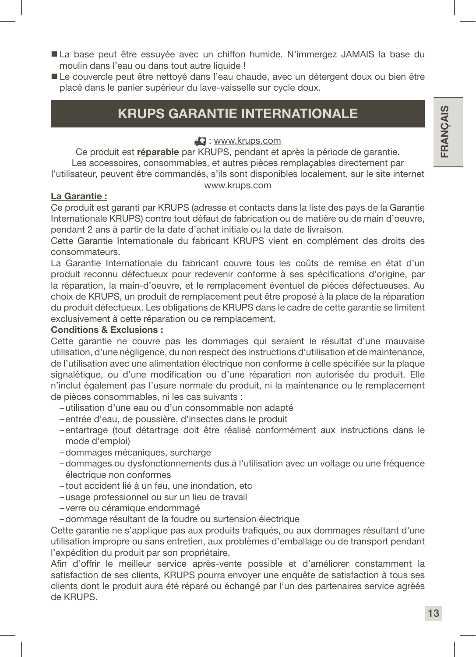- La base peut être essuyée avec un chiffon humide. N'immergez JAMAIS la base du moulin dans l'eau ou dans tout autre liquide !
- Le couvercle peut être nettoyé dans l'eau chaude, avec un détergent doux ou bien être placé dans le panier supérieur du lave-vaisselle sur cycle doux.

## KRUPS GARANTIE INTERNATIONALE

: www.krups.com

Ce produit est réparable par KRUPS, pendant et après la période de garantie. Les accessoires, consommables, et autres pièces remplaçables directement par l'utilisateur, peuvent être commandés, s'ils sont disponibles localement, sur le site internet

#### La Garantie :

#### www.krups.com

Ce produit est garanti par KRUPS (adresse et contacts dans la liste des pays de la Garantie Internationale KRUPS) contre tout défaut de fabrication ou de matière ou de main d'oeuvre, pendant 2 ans à partir de la date d'achat initiale ou la date de livraison.

Cette Garantie Internationale du fabricant KRUPS vient en complément des droits des consommateurs.

La Garantie Internationale du fabricant couvre tous les coûts de remise en état d'un produit reconnu défectueux pour redevenir conforme à ses spécifications d'origine, par la réparation, la main-d'oeuvre, et le remplacement éventuel de pièces défectueuses. Au choix de KRUPS, un produit de remplacement peut être proposé à la place de la réparation du produit défectueux. Les obligations de KRUPS dans le cadre de cette garantie se limitent exclusivement à cette réparation ou ce remplacement.

#### Conditions & Exclusions :

Cette garantie ne couvre pas les dommages qui seraient le résultat d'une mauvaise utilisation, d'une négligence, du non respect des instructions d'utilisation et de maintenance, de l'utilisation avec une alimentation électrique non conforme à celle spécifiée sur la plaque signalétique, ou d'une modification ou d'une réparation non autorisée du produit. Elle n'inclut également pas l'usure normale du produit, ni la maintenance ou le remplacement de pièces consommables, ni les cas suivants :

- –utilisation d'une eau ou d'un consommable non adapté
- –entrée d'eau, de poussière, d'insectes dans le produit
- –entartrage (tout détartrage doit être réalisé conformément aux instructions dans le mode d'emploi)
- –dommages mécaniques, surcharge
- –dommages ou dysfonctionnements dus à l'utilisation avec un voltage ou une fréquence électrique non conformes
- tout accident lié à un feu, une inondation, etc
- –usage professionnel ou sur un lieu de travail
- verre ou céramique endommagé
- –dommage résultant de la foudre ou surtension électrique

Cette garantie ne s'applique pas aux produits trafiqués, ou aux dommages résultant d'une utilisation impropre ou sans entretien, aux problèmes d'emballage ou de transport pendant l'expédition du produit par son propriétaire.

Afin d'offrir le meilleur service après-vente possible et d'améliorer constamment la satisfaction de ses clients, KRUPS pourra envoyer une enquête de satisfaction à tous ses clients dont le produit aura été réparé ou échangé par l'un des partenaires service agréés de KRUPS.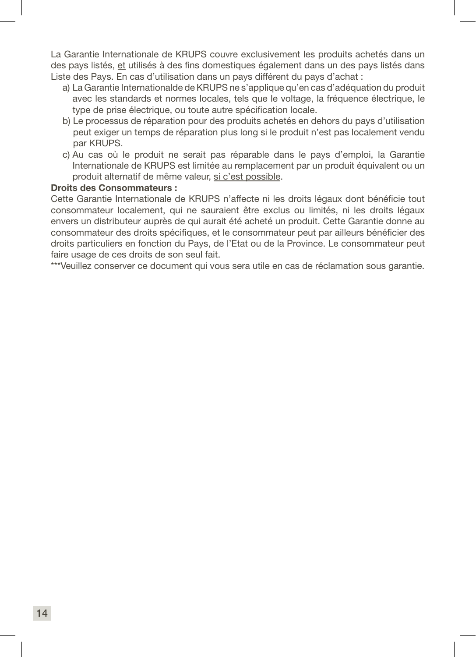La Garantie Internationale de KRUPS couvre exclusivement les produits achetés dans un des pays listés, et utilisés à des fins domestiques également dans un des pays listés dans Liste des Pays. En cas d'utilisation dans un pays différent du pays d'achat :

- a) La Garantie Internationalde de KRUPS ne s'applique qu'en cas d'adéquation du produit avec les standards et normes locales, tels que le voltage, la fréquence électrique, le type de prise électrique, ou toute autre spécification locale.
- b) Le processus de réparation pour des produits achetés en dehors du pays d'utilisation peut exiger un temps de réparation plus long si le produit n'est pas localement vendu par KRUPS.
- c) Au cas où le produit ne serait pas réparable dans le pays d'emploi, la Garantie Internationale de KRUPS est limitée au remplacement par un produit équivalent ou un produit alternatif de même valeur, si c'est possible.

#### Droits des Consommateurs :

Cette Garantie Internationale de KRUPS n'affecte ni les droits légaux dont bénéficie tout consommateur localement, qui ne sauraient être exclus ou limités, ni les droits légaux envers un distributeur auprès de qui aurait été acheté un produit. Cette Garantie donne au consommateur des droits spécifiques, et le consommateur peut par ailleurs bénéficier des droits particuliers en fonction du Pays, de l'Etat ou de la Province. Le consommateur peut faire usage de ces droits de son seul fait.

\*\*\*Veuillez conserver ce document qui vous sera utile en cas de réclamation sous garantie.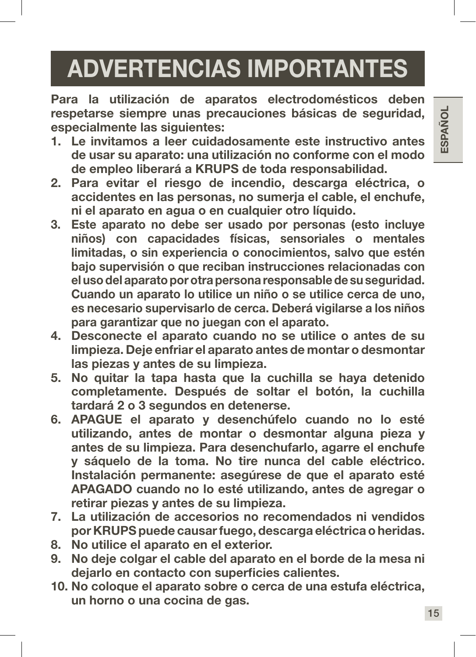# ADVERTENCIAS IMPORTANTES

Para la utilización de aparatos electrodomésticos deben respetarse siempre unas precauciones básicas de seguridad, especialmente las siguientes:

- 1. Le invitamos a leer cuidadosamente este instructivo antes de usar su aparato: una utilización no conforme con el modo de empleo liberará a KRUPS de toda responsabilidad.
- 2. Para evitar el riesgo de incendio, descarga eléctrica, o accidentes en las personas, no sumerja el cable, el enchufe, ni el aparato en agua o en cualquier otro líquido.
- 3. Este aparato no debe ser usado por personas (esto incluye niños) con capacidades físicas, sensoriales o mentales limitadas, o sin experiencia o conocimientos, salvo que estén bajo supervisión o que reciban instrucciones relacionadas con el uso del aparato por otra persona responsable de su seguridad. Cuando un aparato lo utilice un niño o se utilice cerca de uno, es necesario supervisarlo de cerca. Deberá vigilarse a los niños para garantizar que no juegan con el aparato.
- 4. Desconecte el aparato cuando no se utilice o antes de su limpieza. Deje enfriar el aparato antes de montar o desmontar las piezas y antes de su limpieza.
- 5. No quitar la tapa hasta que la cuchilla se haya detenido completamente. Después de soltar el botón, la cuchilla tardará 2 o 3 segundos en detenerse.
- 6. APAGUE el aparato y desenchúfelo cuando no lo esté utilizando, antes de montar o desmontar alguna pieza y antes de su limpieza. Para desenchufarlo, agarre el enchufe y sáquelo de la toma. No tire nunca del cable eléctrico. Instalación permanente: asegúrese de que el aparato esté APAGADO cuando no lo esté utilizando, antes de agregar o retirar piezas y antes de su limpieza.
- 7. La utilización de accesorios no recomendados ni vendidos por KRUPS puede causar fuego, descarga eléctrica o heridas.
- 8. No utilice el aparato en el exterior.
- 9. No deje colgar el cable del aparato en el borde de la mesa ni dejarlo en contacto con superficies calientes.
- 10. No coloque el aparato sobre o cerca de una estufa eléctrica, un horno o una cocina de gas.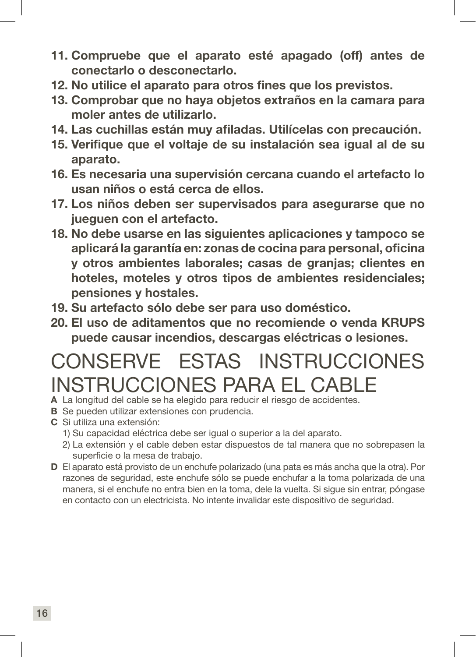- 11. Compruebe que el aparato esté apagado (off) antes de conectarlo o desconectarlo.
- 12. No utilice el aparato para otros fines que los previstos.
- 13. Comprobar que no haya objetos extraños en la camara para moler antes de utilizarlo.
- 14. Las cuchillas están muy afiladas. Utilícelas con precaución.
- 15. Verifique que el voltaje de su instalación sea igual al de su aparato.
- 16. Es necesaria una supervisión cercana cuando el artefacto lo usan niños o está cerca de ellos.
- 17. Los niños deben ser supervisados para asegurarse que no jueguen con el artefacto.
- 18. No debe usarse en las siguientes aplicaciones y tampoco se aplicará la garantía en: zonas de cocina para personal, oficina y otros ambientes laborales; casas de granjas; clientes en hoteles, moteles y otros tipos de ambientes residenciales; pensiones y hostales.
- 19. Su artefacto sólo debe ser para uso doméstico.
- 20. El uso de aditamentos que no recomiende o venda KRUPS puede causar incendios, descargas eléctricas o lesiones.

## CONSERVE ESTAS INSTRUCCIONES INSTRUCCIONES PARA EL CABLE

- A La longitud del cable se ha elegido para reducir el riesgo de accidentes.
- B Se pueden utilizar extensiones con prudencia.
- C Si utiliza una extensión:
	- 1) Su capacidad eléctrica debe ser igual o superior a la del aparato.
	- 2) La extensión y el cable deben estar dispuestos de tal manera que no sobrepasen la superficie o la mesa de trabajo.
- D El aparato está provisto de un enchufe polarizado (una pata es más ancha que la otra). Por razones de seguridad, este enchufe sólo se puede enchufar a la toma polarizada de una manera, si el enchufe no entra bien en la toma, dele la vuelta. Si sigue sin entrar, póngase en contacto con un electricista. No intente invalidar este dispositivo de seguridad.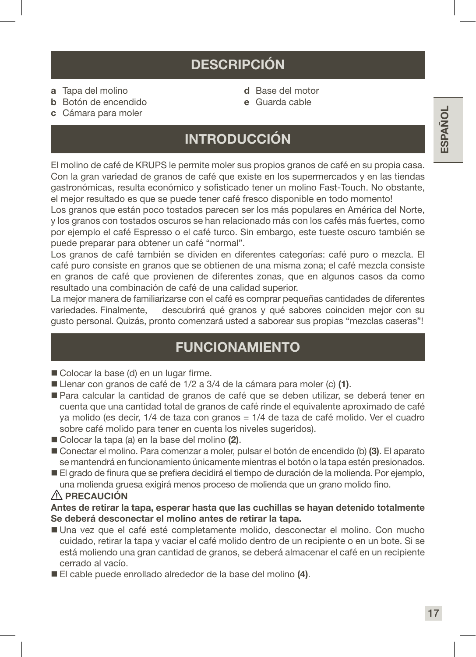- a Tapa del molino
- b Botón de encendido
- d Base del motor
- e Guarda cable

c Cámara para moler

### INTRODUCCIÓN

El molino de café de KRUPS le permite moler sus propios granos de café en su propia casa. Con la gran variedad de granos de café que existe en los supermercados y en las tiendas gastronómicas, resulta económico y sofisticado tener un molino Fast-Touch. No obstante, el mejor resultado es que se puede tener café fresco disponible en todo momento!

Los granos que están poco tostados parecen ser los más populares en América del Norte, y los granos con tostados oscuros se han relacionado más con los cafés más fuertes, como por ejemplo el café Espresso o el café turco. Sin embargo, este tueste oscuro también se puede preparar para obtener un café "normal".

Los granos de café también se dividen en diferentes categorías: café puro o mezcla. El café puro consiste en granos que se obtienen de una misma zona; el café mezcla consiste en granos de café que provienen de diferentes zonas, que en algunos casos da como resultado una combinación de café de una calidad superior.

La mejor manera de familiarizarse con el café es comprar pequeñas cantidades de diferentes variedades. Finalmente, descubrirá qué granos y qué sabores coinciden mejor con su gusto personal. Quizás, pronto comenzará usted a saborear sus propias "mezclas caseras"!

### FUNCIONAMIENTO

- Colocar la base (d) en un lugar firme.
- Llenar con granos de café de 1/2 a 3/4 de la cámara para moler (c) (1).
- Para calcular la cantidad de granos de café que se deben utilizar, se deberá tener en cuenta que una cantidad total de granos de café rinde el equivalente aproximado de café ya molido (es decir, 1/4 de taza con granos = 1/4 de taza de café molido. Ver el cuadro sobre café molido para tener en cuenta los niveles sugeridos).
- Colocar la tapa (a) en la base del molino (2).
- Conectar el molino. Para comenzar a moler, pulsar el botón de encendido (b) (3). El aparato se mantendrá en funcionamiento únicamente mientras el botón o la tapa estén presionados.
- El grado de finura que se prefiera decidirá el tiempo de duración de la molienda. Por ejemplo, una molienda gruesa exigirá menos proceso de molienda que un grano molido fino.

#### $\land$  PRECAUCIÓN

#### Antes de retirar la tapa, esperar hasta que las cuchillas se hayan detenido totalmente Se deberá desconectar el molino antes de retirar la tapa.

- Una vez que el café esté completamente molido, desconectar el molino. Con mucho cuidado, retirar la tapa y vaciar el café molido dentro de un recipiente o en un bote. Si se está moliendo una gran cantidad de granos, se deberá almacenar el café en un recipiente cerrado al vacío.
- El cable puede enrollado alrededor de la base del molino (4).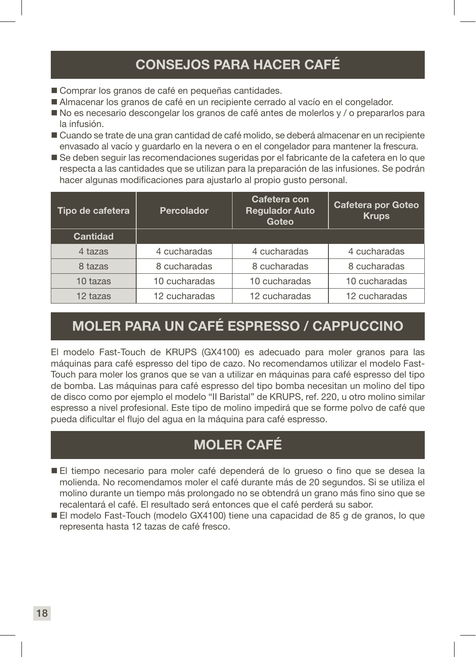## CONSEJOS PARA HACER CAFÉ

- Comprar los granos de café en pequeñas cantidades.
- Almacenar los granos de café en un recipiente cerrado al vacío en el congelador.
- No es necesario descongelar los granos de café antes de molerlos y / o prepararlos para la infusión.
- Cuando se trate de una gran cantidad de café molido, se deberá almacenar en un recipiente envasado al vacío y guardarlo en la nevera o en el congelador para mantener la frescura.
- Se deben seguir las recomendaciones sugeridas por el fabricante de la cafetera en lo que respecta a las cantidades que se utilizan para la preparación de las infusiones. Se podrán hacer algunas modificaciones para ajustarlo al propio gusto personal.

| Tipo de cafetera | <b>Percolador</b> | Cafetera con<br><b>Regulador Auto</b><br>Goteo | Cafetera por Goteo<br><b>Krups</b> |
|------------------|-------------------|------------------------------------------------|------------------------------------|
| Cantidad         |                   |                                                |                                    |
| 4 tazas          | 4 cucharadas      | 4 cucharadas                                   | 4 cucharadas                       |
| 8 tazas          | 8 cucharadas      | 8 cucharadas                                   | 8 cucharadas                       |
| 10 tazas         | 10 cucharadas     | 10 cucharadas                                  | 10 cucharadas                      |
| 12 tazas         | 12 cucharadas     | 12 cucharadas                                  | 12 cucharadas                      |

## MOLER PARA UN CAFÉ ESPRESSO / CAPPUCCINO

El modelo Fast-Touch de KRUPS (GX4100) es adecuado para moler granos para las máquinas para café espresso del tipo de cazo. No recomendamos utilizar el modelo Fast-Touch para moler los granos que se van a utilizar en máquinas para café espresso del tipo de bomba. Las máquinas para café espresso del tipo bomba necesitan un molino del tipo de disco como por ejemplo el modelo "II Baristal" de KRUPS, ref. 220, u otro molino similar espresso a nivel profesional. Este tipo de molino impedirá que se forme polvo de café que pueda dificultar el flujo del agua en la máquina para café espresso.

## MOLER CAFÉ

- El tiempo necesario para moler café dependerá de lo grueso o fino que se desea la molienda. No recomendamos moler el café durante más de 20 segundos. Si se utiliza el molino durante un tiempo más prolongado no se obtendrá un grano más fino sino que se recalentará el café. El resultado será entonces que el café perderá su sabor.
- El modelo Fast-Touch (modelo GX4100) tiene una capacidad de 85 g de granos, lo que representa hasta 12 tazas de café fresco.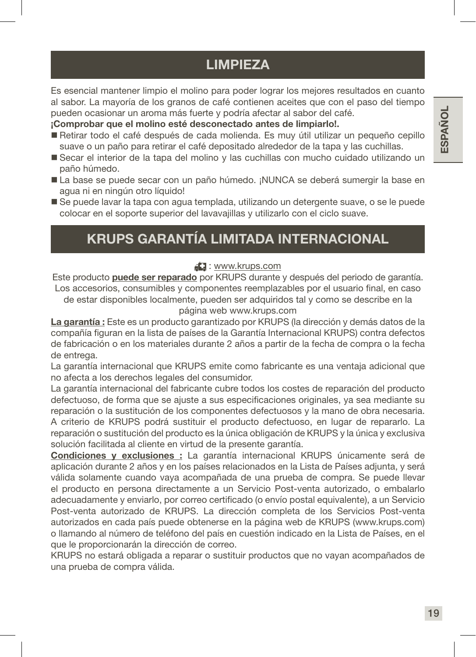## LIMPIEZA

Es esencial mantener limpio el molino para poder lograr los mejores resultados en cuanto al sabor. La mayoría de los granos de café contienen aceites que con el paso del tiempo pueden ocasionar un aroma más fuerte y podría afectar al sabor del café.

¡Comprobar que el molino esté desconectado antes de limpiarlo!.

- Retirar todo el café después de cada molienda. Es muy útil utilizar un pequeño cepillo suave o un paño para retirar el café depositado alrededor de la tapa y las cuchillas.
- Secar el interior de la tapa del molino y las cuchillas con mucho cuidado utilizando un paño húmedo.
- La base se puede secar con un paño húmedo. ¡NUNCA se deberá sumergir la base en agua ni en ningún otro líquido!
- Se puede lavar la tapa con agua templada, utilizando un detergente suave, o se le puede colocar en el soporte superior del lavavajillas y utilizarlo con el ciclo suave.

## KRUPS GARANTÍA LIMITADA INTERNACIONAL

#### : www.krups.com

Este producto puede ser reparado por KRUPS durante y después del periodo de garantía. Los accesorios, consumibles y componentes reemplazables por el usuario final, en caso de estar disponibles localmente, pueden ser adquiridos tal y como se describe en la

página web www.krups.com

La garantía : Este es un producto garantizado por KRUPS (la dirección y demás datos de la compañía figuran en la lista de países de la Garantía Internacional KRUPS) contra defectos de fabricación o en los materiales durante 2 años a partir de la fecha de compra o la fecha de entrega.

La garantía internacional que KRUPS emite como fabricante es una ventaja adicional que no afecta a los derechos legales del consumidor.

La garantía internacional del fabricante cubre todos los costes de reparación del producto defectuoso, de forma que se ajuste a sus especificaciones originales, ya sea mediante su reparación o la sustitución de los componentes defectuosos y la mano de obra necesaria. A criterio de KRUPS podrá sustituir el producto defectuoso, en lugar de repararlo. La reparación o sustitución del producto es la única obligación de KRUPS y la única y exclusiva solución facilitada al cliente en virtud de la presente garantía.

Condiciones y exclusiones : La garantía internacional KRUPS únicamente será de aplicación durante 2 años y en los países relacionados en la Lista de Países adjunta, y será válida solamente cuando vaya acompañada de una prueba de compra. Se puede llevar el producto en persona directamente a un Servicio Post-venta autorizado, o embalarlo adecuadamente y enviarlo, por correo certificado (o envío postal equivalente), a un Servicio Post-venta autorizado de KRUPS. La dirección completa de los Servicios Post-venta autorizados en cada país puede obtenerse en la página web de KRUPS (www.krups.com) o llamando al número de teléfono del país en cuestión indicado en la Lista de Países, en el que le proporcionarán la dirección de correo.

KRUPS no estará obligada a reparar o sustituir productos que no vayan acompañados de una prueba de compra válida.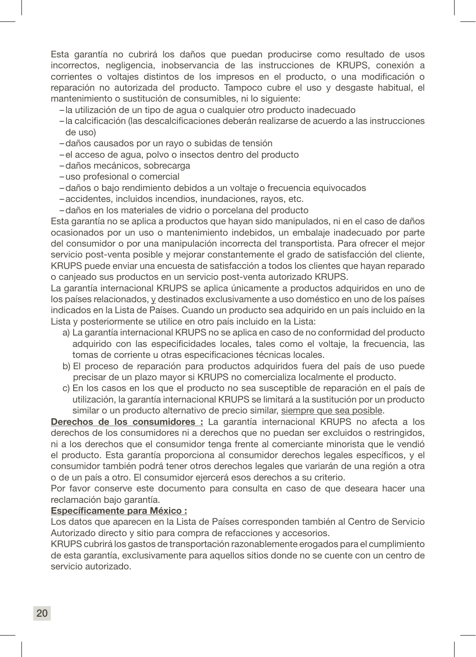Esta garantía no cubrirá los daños que puedan producirse como resultado de usos incorrectos, negligencia, inobservancia de las instrucciones de KRUPS, conexión a corrientes o voltajes distintos de los impresos en el producto, o una modificación o reparación no autorizada del producto. Tampoco cubre el uso y desgaste habitual, el mantenimiento o sustitución de consumibles, ni lo siguiente:

- la utilización de un tipo de agua o cualquier otro producto inadecuado
- la calcificación (las descalcificaciones deberán realizarse de acuerdo a las instrucciones de uso)
- –daños causados por un rayo o subidas de tensión
- –el acceso de agua, polvo o insectos dentro del producto
- –daños mecánicos, sobrecarga
- –uso profesional o comercial
- –daños o bajo rendimiento debidos a un voltaje o frecuencia equivocados
- –accidentes, incluidos incendios, inundaciones, rayos, etc.
- –daños en los materiales de vidrio o porcelana del producto

Esta garantía no se aplica a productos que hayan sido manipulados, ni en el caso de daños ocasionados por un uso o mantenimiento indebidos, un embalaje inadecuado por parte del consumidor o por una manipulación incorrecta del transportista. Para ofrecer el mejor servicio post-venta posible y mejorar constantemente el grado de satisfacción del cliente, KRUPS puede enviar una encuesta de satisfacción a todos los clientes que hayan reparado o canjeado sus productos en un servicio post-venta autorizado KRUPS.

La garantía internacional KRUPS se aplica únicamente a productos adquiridos en uno de los países relacionados, y destinados exclusivamente a uso doméstico en uno de los países indicados en la Lista de Países. Cuando un producto sea adquirido en un país incluido en la Lista y posteriormente se utilice en otro país incluido en la Lista:

- a) La garantía internacional KRUPS no se aplica en caso de no conformidad del producto adquirido con las especificidades locales, tales como el voltaje, la frecuencia, las tomas de corriente u otras especificaciones técnicas locales.
- b) El proceso de reparación para productos adquiridos fuera del país de uso puede precisar de un plazo mayor si KRUPS no comercializa localmente el producto.
- c) En los casos en los que el producto no sea susceptible de reparación en el país de utilización, la garantía internacional KRUPS se limitará a la sustitución por un producto similar o un producto alternativo de precio similar, siempre que sea posible.

Derechos de los consumidores : La garantía internacional KRUPS no afecta a los derechos de los consumidores ni a derechos que no puedan ser excluidos o restringidos, ni a los derechos que el consumidor tenga frente al comerciante minorista que le vendió el producto. Esta garantía proporciona al consumidor derechos legales específicos, y el consumidor también podrá tener otros derechos legales que variarán de una región a otra o de un país a otro. El consumidor ejercerá esos derechos a su criterio.

Por favor conserve este documento para consulta en caso de que deseara hacer una reclamación bajo garantía.

#### Específicamente para México :

Los datos que aparecen en la Lista de Países corresponden también al Centro de Servicio Autorizado directo y sitio para compra de refacciones y accesorios.

KRUPS cubrirá los gastos de transportación razonablemente erogados para el cumplimiento de esta garantía, exclusivamente para aquellos sitios donde no se cuente con un centro de servicio autorizado.